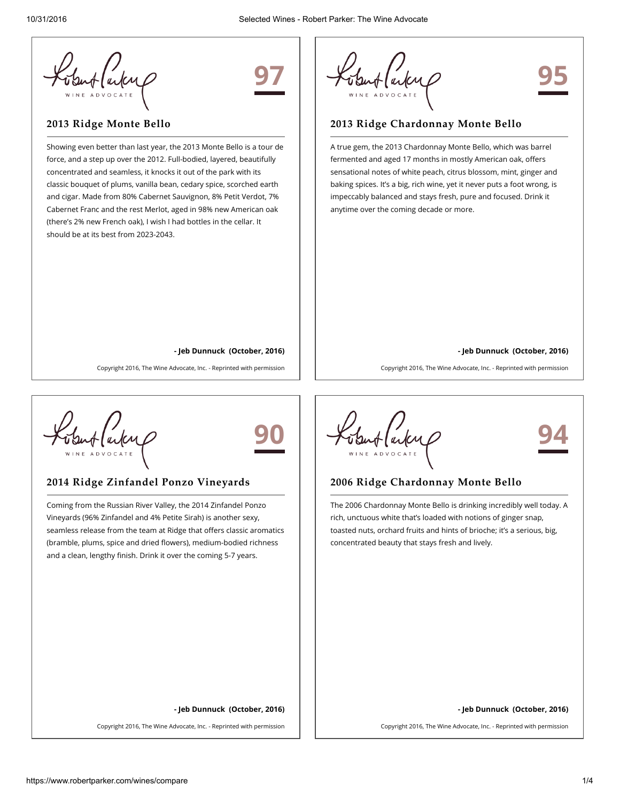

# 97

## 2013 Ridge Monte Bello

Showing even better than last year, the 2013 Monte Bello is a tour de force, and a step up over the 2012. Full-bodied, layered, beautifully concentrated and seamless, it knocks it out of the park with its classic bouquet of plums, vanilla bean, cedary spice, scorched earth and cigar. Made from 80% Cabernet Sauvignon, 8% Petit Verdot, 7% Cabernet Franc and the rest Merlot, aged in 98% new American oak (there's 2% new French oak), I wish I had bottles in the cellar. It should be at its best from 2023-2043.

95

#### 2013 Ridge Chardonnay Monte Bello

A true gem, the 2013 Chardonnay Monte Bello, which was barrel fermented and aged 17 months in mostly American oak, offers sensational notes of white peach, citrus blossom, mint, ginger and baking spices. It's a big, rich wine, yet it never puts a foot wrong, is impeccably balanced and stays fresh, pure and focused. Drink it anytime over the coming decade or more.

#### - Jeb Dunnuck (October, 2016)

Copyright 2016, The Wine Advocate, Inc. - Reprinted with permission

#### - Jeb Dunnuck (October, 2016)

Copyright 2016, The Wine Advocate, Inc. - Reprinted with permission



# 90

### 2014 Ridge Zinfandel Ponzo Vineyards

Coming from the Russian River Valley, the 2014 Zinfandel Ponzo Vineyards (96% Zinfandel and 4% Petite Sirah) is another sexy, seamless release from the team at Ridge that offers classic aromatics (bramble, plums, spice and dried flowers), medium-bodied richness and a clean, lengthy finish. Drink it over the coming 5-7 years.

Alarkup

94

#### 2006 Ridge Chardonnay Monte Bello

The 2006 Chardonnay Monte Bello is drinking incredibly well today. A rich, unctuous white that's loaded with notions of ginger snap, toasted nuts, orchard fruits and hints of brioche; it's a serious, big, concentrated beauty that stays fresh and lively.

- Jeb Dunnuck (October, 2016)

Copyright 2016, The Wine Advocate, Inc. - Reprinted with permission

- Jeb Dunnuck (October, 2016)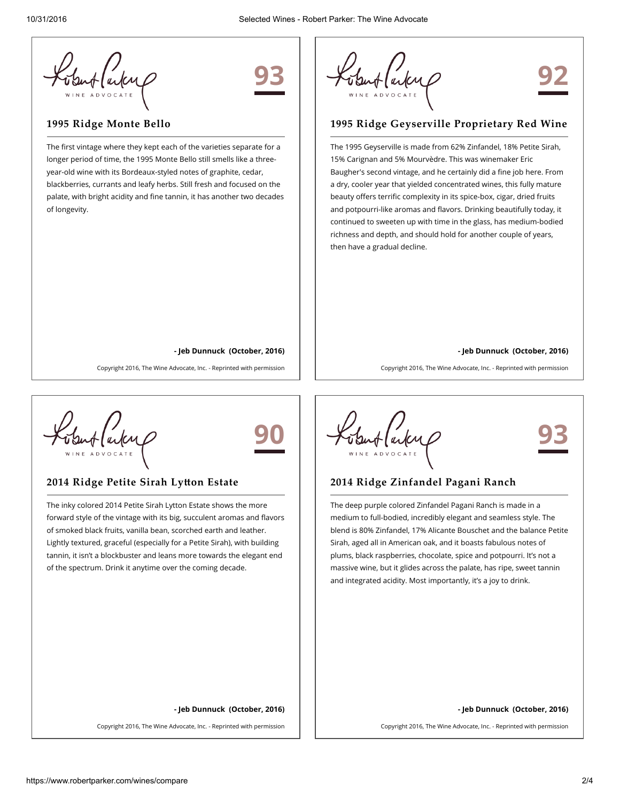

# 93

## 1995 Ridge Monte Bello

The first vintage where they kept each of the varieties separate for a longer period of time, the 1995 Monte Bello still smells like a threeyear-old wine with its Bordeaux-styled notes of graphite, cedar, blackberries, currants and leafy herbs. Still fresh and focused on the palate, with bright acidity and fine tannin, it has another two decades of longevity.

92

## 1995 Ridge Geyserville Proprietary Red Wine

The 1995 Geyserville is made from 62% Zinfandel, 18% Petite Sirah, 15% Carignan and 5% Mourvèdre. This was winemaker Eric Baugher's second vintage, and he certainly did a fine job here. From a dry, cooler year that yielded concentrated wines, this fully mature beauty offers terrific complexity in its spice-box, cigar, dried fruits and potpourri-like aromas and flavors. Drinking beautifully today, it continued to sweeten up with time in the glass, has medium-bodied richness and depth, and should hold for another couple of years, then have a gradual decline.

#### - Jeb Dunnuck (October, 2016)

90

Copyright 2016, The Wine Advocate, Inc. - Reprinted with permission

#### - Jeb Dunnuck (October, 2016)

Copyright 2016, The Wine Advocate, Inc. - Reprinted with permission



# 2014 Ridge Petite Sirah Lytton Estate

The inky colored 2014 Petite Sirah Lytton Estate shows the more forward style of the vintage with its big, succulent aromas and flavors of smoked black fruits, vanilla bean, scorched earth and leather. Lightly textured, graceful (especially for a Petite Sirah), with building tannin, it isn't a blockbuster and leans more towards the elegant end of the spectrum. Drink it anytime over the coming decade.

Alarkup

93

#### 2014 Ridge Zinfandel Pagani Ranch

The deep purple colored Zinfandel Pagani Ranch is made in a medium to full-bodied, incredibly elegant and seamless style. The blend is 80% Zinfandel, 17% Alicante Bouschet and the balance Petite Sirah, aged all in American oak, and it boasts fabulous notes of plums, black raspberries, chocolate, spice and potpourri. It's not a massive wine, but it glides across the palate, has ripe, sweet tannin and integrated acidity. Most importantly, it's a joy to drink.

#### - Jeb Dunnuck (October, 2016)

Copyright 2016, The Wine Advocate, Inc. - Reprinted with permission

- Jeb Dunnuck (October, 2016)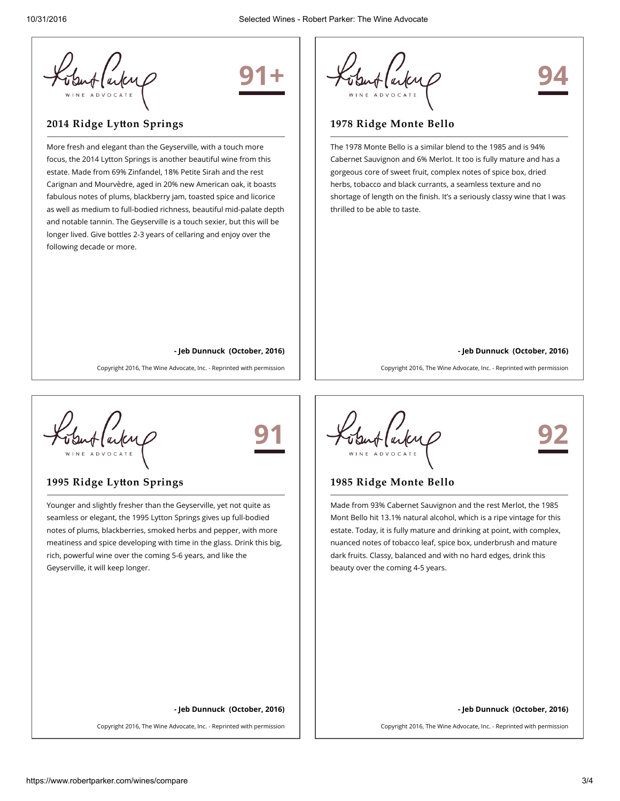

# 91+

# 2014 Ridge Lytton Springs

More fresh and elegant than the Geyserville, with a touch more focus, the 2014 Lytton Springs is another beautiful wine from this estate. Made from 69% Zinfandel, 18% Petite Sirah and the rest Carignan and Mourvèdre, aged in 20% new American oak, it boasts fabulous notes of plums, blackberry jam, toasted spice and licorice as well as medium to full-bodied richness, beautiful mid-palate depth and notable tannin. The Geyserville is a touch sexier, but this will be longer lived. Give bottles 2-3 years of cellaring and enjoy over the following decade or more.



## 1978 Ridge Monte Bello

The 1978 Monte Bello is a similar blend to the 1985 and is 94% Cabernet Sauvignon and 6% Merlot. It too is fully mature and has a gorgeous core of sweet fruit, complex notes of spice box, dried herbs, tobacco and black currants, a seamless texture and no shortage of length on the finish. It's a seriously classy wine that I was thrilled to be able to taste.

#### - Jeb Dunnuck (October, 2016)

Copyright 2016, The Wine Advocate, Inc. - Reprinted with permission

#### - Jeb Dunnuck (October, 2016)

Copyright 2016, The Wine Advocate, Inc. - Reprinted with permission



# 91

### 1995 Ridge Lytton Springs

Younger and slightly fresher than the Geyserville, yet not quite as seamless or elegant, the 1995 Lytton Springs gives up full-bodied notes of plums, blackberries, smoked herbs and pepper, with more meatiness and spice developing with time in the glass. Drink this big, rich, powerful wine over the coming 5-6 years, and like the Geyserville, it will keep longer.

92

### 1985 Ridge Monte Bello

Made from 93% Cabernet Sauvignon and the rest Merlot, the 1985 Mont Bello hit 13.1% natural alcohol, which is a ripe vintage for this estate. Today, it is fully mature and drinking at point, with complex, nuanced notes of tobacco leaf, spice box, underbrush and mature dark fruits. Classy, balanced and with no hard edges, drink this beauty over the coming 4-5 years.

#### - Jeb Dunnuck (October, 2016)

Copyright 2016, The Wine Advocate, Inc. - Reprinted with permission

- Jeb Dunnuck (October, 2016)